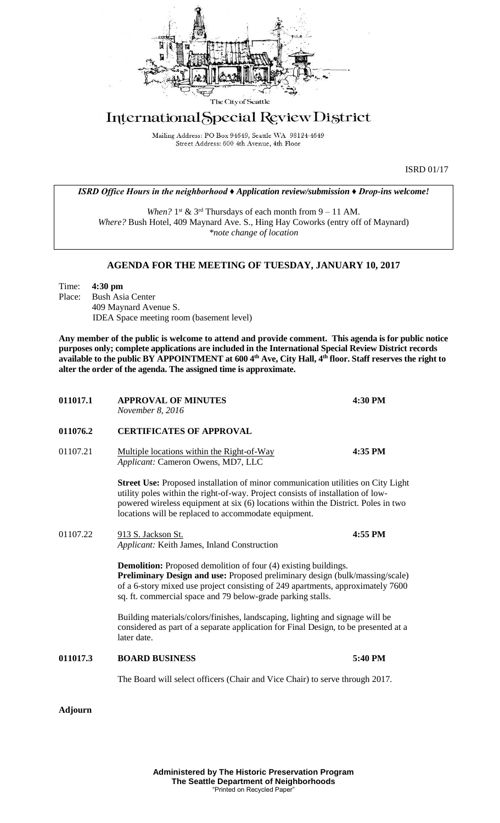

## International Special Review District

Mailing Address: PO Box 94649, Seattle WA 98124-4649 Street Address: 600 4th Avenue, 4th Floor

ISRD 01/17

*ISRD Office Hours in the neighborhood ♦ Application review/submission ♦ Drop-ins welcome!*

When?  $1^{st}$  &  $3^{rd}$  Thursdays of each month from  $9 - 11$  AM. *Where?* Bush Hotel, 409 Maynard Ave. S., Hing Hay Coworks (entry off of Maynard) *\*note change of location*

## **AGENDA FOR THE MEETING OF TUESDAY, JANUARY 10, 2017**

Time: **4:30 pm** Place: Bush Asia Center 409 Maynard Avenue S. IDEA Space meeting room (basement level)

**Any member of the public is welcome to attend and provide comment. This agenda is for public notice purposes only; complete applications are included in the International Special Review District records available to the public BY APPOINTMENT at 600 4th Ave, City Hall, 4th floor. Staff reserves the right to alter the order of the agenda. The assigned time is approximate.** 

| 011017.1 | <b>APPROVAL OF MINUTES</b><br>November 8, 2016                                                                                                                                                                                                                                                                   | 4:30 PM |
|----------|------------------------------------------------------------------------------------------------------------------------------------------------------------------------------------------------------------------------------------------------------------------------------------------------------------------|---------|
| 011076.2 | <b>CERTIFICATES OF APPROVAL</b>                                                                                                                                                                                                                                                                                  |         |
| 01107.21 | Multiple locations within the Right-of-Way<br>Applicant: Cameron Owens, MD7, LLC                                                                                                                                                                                                                                 | 4:35 PM |
|          | Street Use: Proposed installation of minor communication utilities on City Light<br>utility poles within the right-of-way. Project consists of installation of low-<br>powered wireless equipment at six (6) locations within the District. Poles in two<br>locations will be replaced to accommodate equipment. |         |
| 01107.22 | 913 S. Jackson St.<br>Applicant: Keith James, Inland Construction                                                                                                                                                                                                                                                | 4:55 PM |
|          | <b>Demolition:</b> Proposed demolition of four (4) existing buildings.<br>Preliminary Design and use: Proposed preliminary design (bulk/massing/scale)<br>of a 6-story mixed use project consisting of 249 apartments, approximately 7600<br>sq. ft. commercial space and 79 below-grade parking stalls.         |         |
|          | Building materials/colors/finishes, landscaping, lighting and signage will be<br>considered as part of a separate application for Final Design, to be presented at a<br>later date.                                                                                                                              |         |
| 011017.3 | <b>BOARD BUSINESS</b>                                                                                                                                                                                                                                                                                            | 5:40 PM |
|          | The Board will select officers (Chair and Vice Chair) to serve through 2017.                                                                                                                                                                                                                                     |         |
|          |                                                                                                                                                                                                                                                                                                                  |         |

**Adjourn**